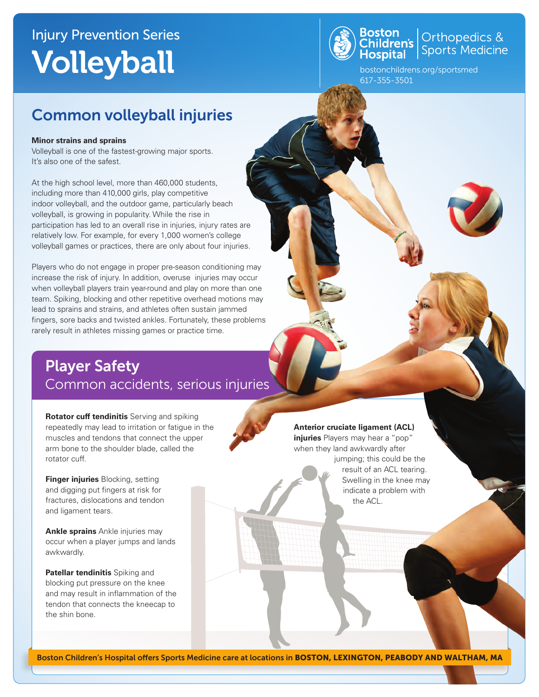# Injury Prevention Series Volleyball



**Boston**<br>Children's **Children's** Sports Medicine

bostonchildrens.org/sportsmed 617-355-3501

### Common volleyball injuries

#### **Minor strains and sprains**

Volleyball is one of the fastest-growing major sports. It's also one of the safest.

At the high school level, more than 460,000 students, including more than 410,000 girls, play competitive indoor volleyball, and the outdoor game, particularly beach volleyball, is growing in popularity. While the rise in participation has led to an overall rise in injuries, injury rates are relatively low. For example, for every 1,000 women's college volleyball games or practices, there are only about four injuries.

Players who do not engage in proper pre-season conditioning may increase the risk of injury. In addition, overuse injuries may occur when volleyball players train year-round and play on more than one team. Spiking, blocking and other repetitive overhead motions may lead to sprains and strains, and athletes often sustain jammed fingers, sore backs and twisted ankles. Fortunately, these problems rarely result in athletes missing games or practice time.

## Player Safety Common accidents, serious injuries

**Rotator cuff tendinitis** Serving and spiking repeatedly may lead to irritation or fatigue in the muscles and tendons that connect the upper arm bone to the shoulder blade, called the rotator cuff.

**Finger injuries** Blocking, setting and digging put fingers at risk for fractures, dislocations and tendon and ligament tears.

**Ankle sprains** Ankle injuries may occur when a player jumps and lands awkwardly.

**Patellar tendinitis** Spiking and blocking put pressure on the knee and may result in inflammation of the tendon that connects the kneecap to the shin bone.

**Anterior cruciate ligament (ACL)** 

**injuries** Players may hear a "pop" when they land awkwardly after jumping; this could be the result of an ACL tearing. Swelling in the knee may indicate a problem with the ACL.

Boston Children's Hospital offers Sports Medicine care at locations in BOSTON, LEXINGTON, PEABODY AND WALTHAM, MA